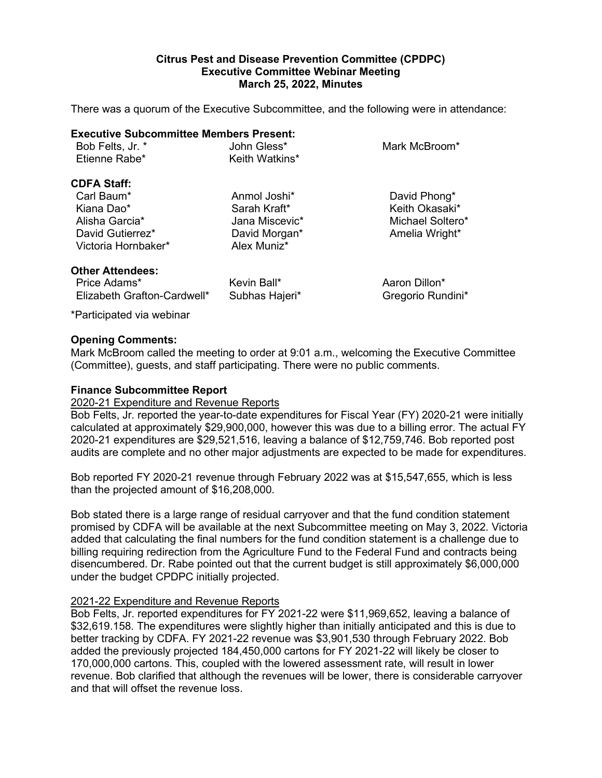# **Citrus Pest and Disease Prevention Committee (CPDPC) Executive Committee Webinar Meeting March 25, 2022, Minutes**

There was a quorum of the Executive Subcommittee, and the following were in attendance:

#### **Executive Subcommittee Members Present:**

| Bob Felts, Jr. * | John Gless*    | Mark McBroom* |
|------------------|----------------|---------------|
| Etienne Rabe*    | Keith Watkins* |               |
|                  |                |               |

# **CDFA Staff:**

Kiana Dao\* Sarah Kraft\* Keith Okasaki\* Alisha Garcia\* Jana Miscevic\* Michael Soltero\* David Morgan\* Amelia Wright\* David Gutierrez\* David Morgan\* Amelia Wright\* Victoria Hornbaker\*

Anmol Joshi\* David Phong\*

# **Other Attendees:**

Price Adams\* Kevin Ball\* Aaron Dillon\* Elizabeth Grafton-Cardwell\* Subhas Hajeri\* Gregorio Rundini\*

\*Participated via webinar

# **Opening Comments:**

Mark McBroom called the meeting to order at 9:01 a.m., welcoming the Executive Committee (Committee), guests, and staff participating. There were no public comments.

# **Finance Subcommittee Report**

# 2020-21 Expenditure and Revenue Reports

 Bob Felts, Jr. reported the year-to-date expenditures for Fiscal Year (FY) 2020-21 were initially 2020-21 expenditures are \$29,521,516, leaving a balance of \$12,759,746. Bob reported post audits are complete and no other major adjustments are expected to be made for expenditures. calculated at approximately \$29,900,000, however this was due to a billing error. The actual FY

audits are complete and no other major adjustments are expected to be made for expenditures.<br>Bob reported FY 2020-21 revenue through February 2022 was at \$15,547,655, which is less than the projected amount of \$16,208,000.

than the projected amount of \$16,208,000.<br>Bob stated there is a large range of residual carryover and that the fund condition statement disencumbered. Dr. Rabe pointed out that the current budget is still approximately \$6,000,000 promised by CDFA will be available at the next Subcommittee meeting on May 3, 2022. Victoria added that calculating the final numbers for the fund condition statement is a challenge due to billing requiring redirection from the Agriculture Fund to the Federal Fund and contracts being under the budget CPDPC initially projected.

# 2021-22 Expenditure and Revenue Reports

Bob Felts, Jr. reported expenditures for FY 2021-22 were \$11,969,652, leaving a balance of \$32,619.158. The expenditures were slightly higher than initially anticipated and this is due to better tracking by CDFA. FY 2021-22 revenue was \$3,901,530 through February 2022. Bob added the previously projected 184,450,000 cartons for FY 2021-22 will likely be closer to 170,000,000 cartons. This, coupled with the lowered assessment rate, will result in lower revenue. Bob clarified that although the revenues will be lower, there is considerable carryover and that will offset the revenue loss.